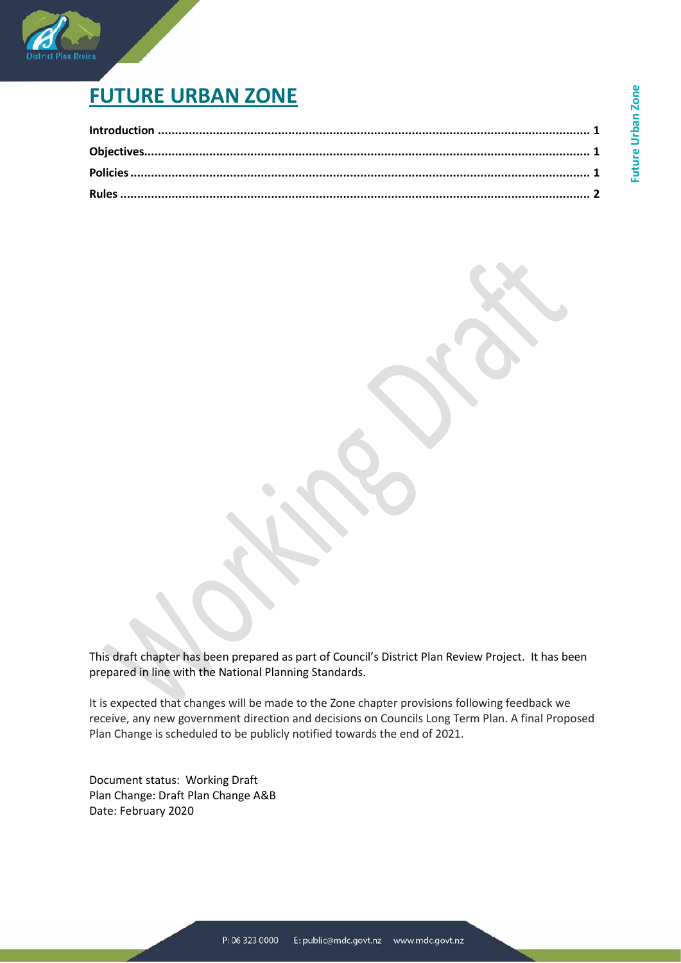

# **FUTURE URBAN ZONE**

This draft chapter has been prepared as part of Council's District Plan Review Project. It has been prepared in line with the National Planning Standards.

It is expected that changes will be made to the Zone chapter provisions following feedback we receive, any new government direction and decisions on Councils Long Term Plan. A final Proposed Plan Change is scheduled to be publicly notified towards the end of 2021.

Document status: Working Draft Plan Change: Draft Plan Change A&B Date: February 2020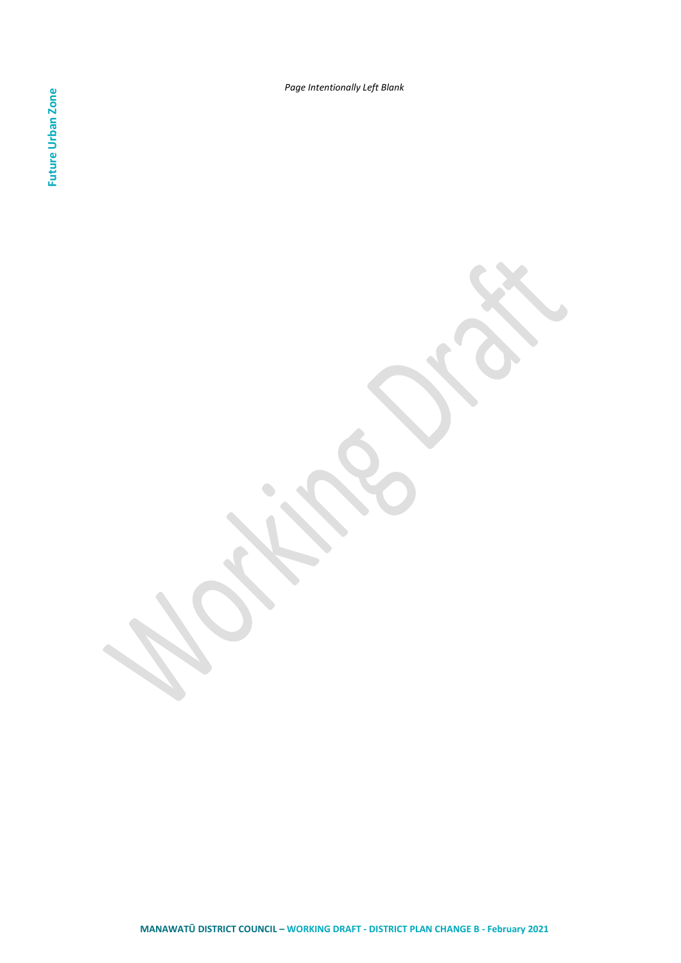*Page Intentionally Left Blank*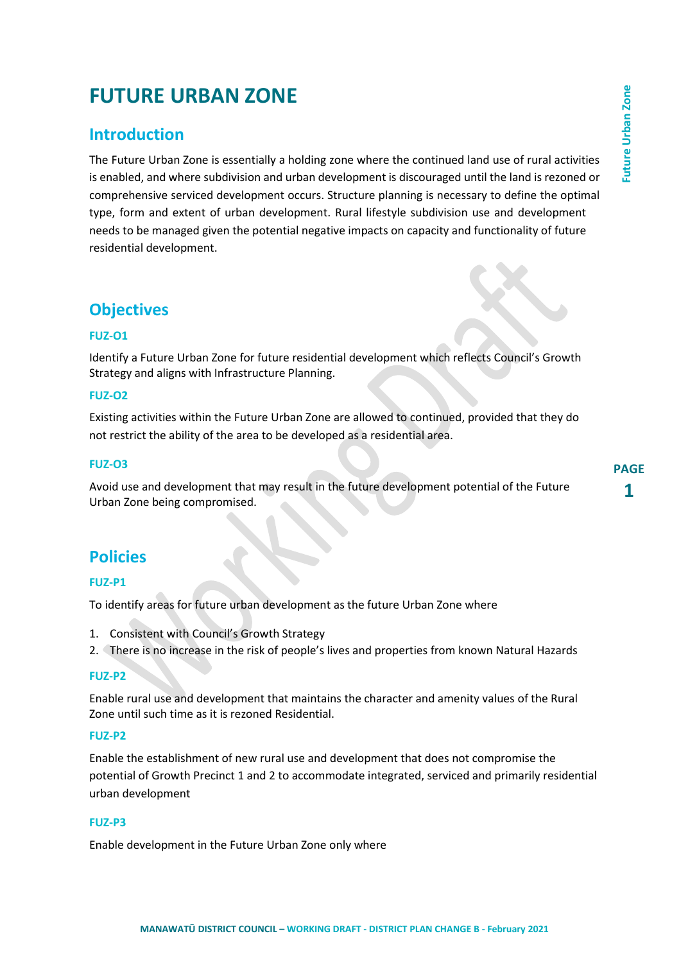**PAGE 1**

# **FUTURE URBAN ZONE**

# <span id="page-2-0"></span>**Introduction**

The Future Urban Zone is essentially a holding zone where the continued land use of rural activities is enabled, and where subdivision and urban development is discouraged until the land is rezoned or comprehensive serviced development occurs. Structure planning is necessary to define the optimal type, form and extent of urban development. Rural lifestyle subdivision use and development needs to be managed given the potential negative impacts on capacity and functionality of future residential development.

# <span id="page-2-1"></span>**Objectives**

#### **FUZ-O1**

Identify a Future Urban Zone for future residential development which reflects Council's Growth Strategy and aligns with Infrastructure Planning.

#### **FUZ-O2**

Existing activities within the Future Urban Zone are allowed to continued, provided that they do not restrict the ability of the area to be developed as a residential area.

#### **FUZ-O3**

Avoid use and development that may result in the future development potential of the Future Urban Zone being compromised.

# <span id="page-2-2"></span>**Policies**

#### **FUZ-P1**

To identify areas for future urban development as the future Urban Zone where

1. Consistent with Council's Growth Strategy

2. There is no increase in the risk of people's lives and properties from known Natural Hazards

#### **FUZ-P2**

Enable rural use and development that maintains the character and amenity values of the Rural Zone until such time as it is rezoned Residential.

#### **FUZ-P2**

Enable the establishment of new rural use and development that does not compromise the potential of Growth Precinct 1 and 2 to accommodate integrated, serviced and primarily residential urban development

#### **FUZ-P3**

Enable development in the Future Urban Zone only where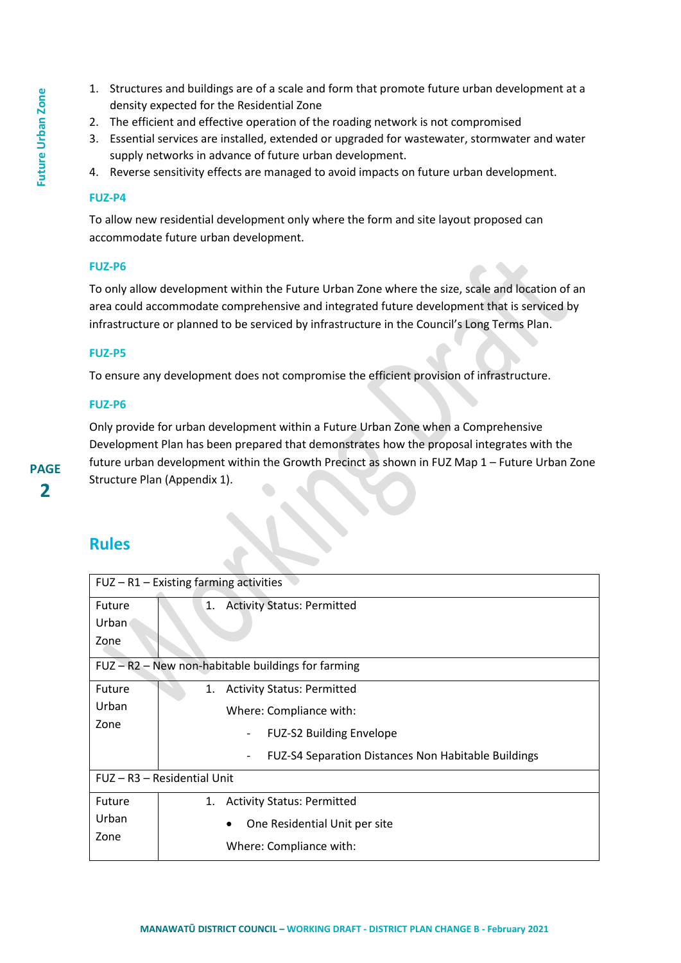- 1. Structures and buildings are of a scale and form that promote future urban development at a density expected for the Residential Zone
	- 2. The efficient and effective operation of the roading network is not compromised
	- 3. Essential services are installed, extended or upgraded for wastewater, stormwater and water supply networks in advance of future urban development.
	- 4. Reverse sensitivity effects are managed to avoid impacts on future urban development.

## **FUZ-P4**

To allow new residential development only where the form and site layout proposed can accommodate future urban development.

### **FUZ-P6**

To only allow development within the Future Urban Zone where the size, scale and location of an area could accommodate comprehensive and integrated future development that is serviced by infrastructure or planned to be serviced by infrastructure in the Council's Long Terms Plan.

## **FUZ-P5**

To ensure any development does not compromise the efficient provision of infrastructure.

## **FUZ-P6**

Only provide for urban development within a Future Urban Zone when a Comprehensive Development Plan has been prepared that demonstrates how the proposal integrates with the future urban development within the Growth Precinct as shown in FUZ Map 1 – Future Urban Zone Structure Plan (Appendix 1).

# <span id="page-3-0"></span>**Rules**

| FUZ-R1-Existing farming activities                   |                                                                                                                                                              |  |  |  |
|------------------------------------------------------|--------------------------------------------------------------------------------------------------------------------------------------------------------------|--|--|--|
| Future<br>Urban<br>Zone                              | <b>Activity Status: Permitted</b><br>1.                                                                                                                      |  |  |  |
| $FUZ - R2 - New$ non-habitable buildings for farming |                                                                                                                                                              |  |  |  |
| Future<br>Urban<br>Zone                              | 1. Activity Status: Permitted<br>Where: Compliance with:<br><b>FUZ-S2 Building Envelope</b><br>-<br>FUZ-S4 Separation Distances Non Habitable Buildings<br>- |  |  |  |
| FUZ-R3-Residential Unit                              |                                                                                                                                                              |  |  |  |
| Future                                               | 1. Activity Status: Permitted                                                                                                                                |  |  |  |
| Urban<br>Zone                                        | One Residential Unit per site                                                                                                                                |  |  |  |
|                                                      | Where: Compliance with:                                                                                                                                      |  |  |  |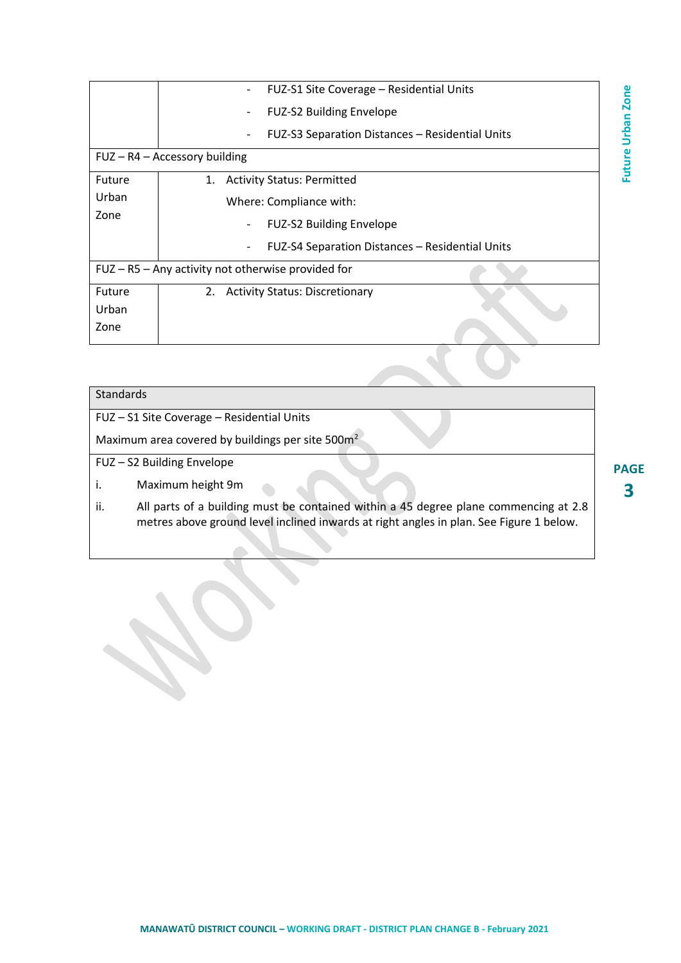Future Urban Zone **Future Urban Zone**

|                                                      | FUZ-S1 Site Coverage - Residential Units<br>$\overline{\phantom{a}}$        |  |  |  |
|------------------------------------------------------|-----------------------------------------------------------------------------|--|--|--|
|                                                      | FUZ-S2 Building Envelope<br>$\overline{\phantom{a}}$                        |  |  |  |
|                                                      | FUZ-S3 Separation Distances - Residential Units<br>$\overline{\phantom{a}}$ |  |  |  |
| FUZ-R4-Accessory building                            |                                                                             |  |  |  |
| Future                                               | <b>Activity Status: Permitted</b><br>1.                                     |  |  |  |
| Urban                                                | Where: Compliance with:                                                     |  |  |  |
| Zone                                                 | <b>FUZ-S2 Building Envelope</b><br>$\overline{\phantom{a}}$                 |  |  |  |
|                                                      | FUZ-S4 Separation Distances - Residential Units<br>$\overline{\phantom{a}}$ |  |  |  |
| $FUZ - RS - Any activity not otherwise provided for$ |                                                                             |  |  |  |
| Future                                               | 2. Activity Status: Discretionary                                           |  |  |  |
| Urban                                                |                                                                             |  |  |  |
| Zone                                                 |                                                                             |  |  |  |
|                                                      |                                                                             |  |  |  |

| <b>Standards</b>                                             |                                                                                                                                                                                 |  |
|--------------------------------------------------------------|---------------------------------------------------------------------------------------------------------------------------------------------------------------------------------|--|
| FUZ - S1 Site Coverage - Residential Units                   |                                                                                                                                                                                 |  |
| Maximum area covered by buildings per site 500m <sup>2</sup> |                                                                                                                                                                                 |  |
| FUZ - S2 Building Envelope                                   |                                                                                                                                                                                 |  |
|                                                              | Maximum height 9m                                                                                                                                                               |  |
| ii.                                                          | All parts of a building must be contained within a 45 degree plane commencing at 2.8<br>metres above ground level inclined inwards at right angles in plan. See Figure 1 below. |  |

**PAGE 3**

**MANAWATŪ DISTRICT COUNCIL – WORKING DRAFT - DISTRICT PLAN CHANGE B - February 2021**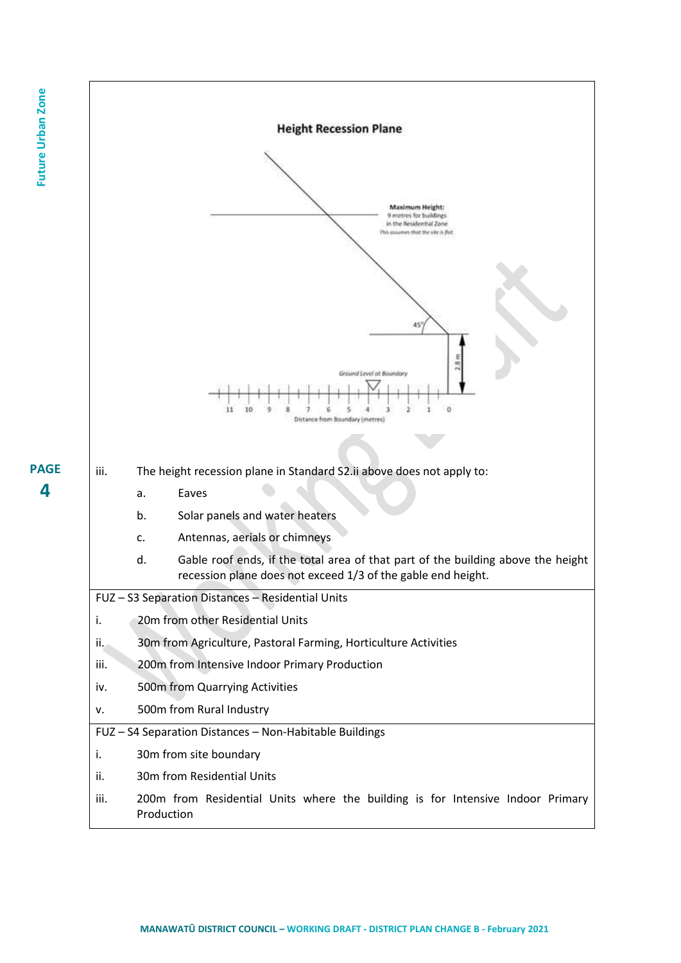**Future Urban Zone Future Urban Zone**



**4**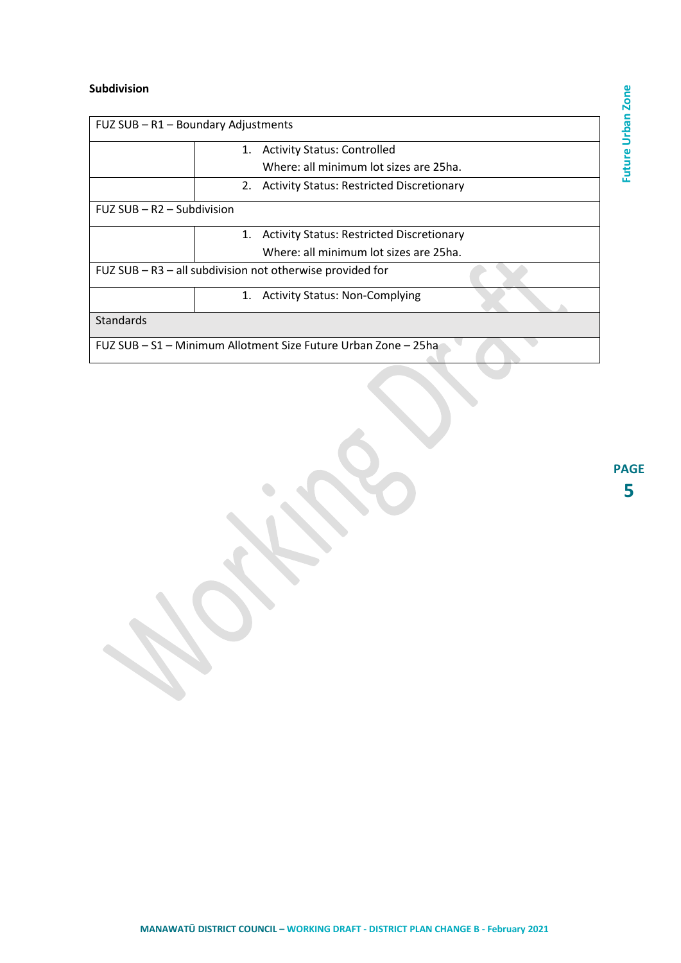## **Subdivision**

| FUZ SUB - R1 - Boundary Adjustments                            |                                                        |  |  |
|----------------------------------------------------------------|--------------------------------------------------------|--|--|
|                                                                | <b>Activity Status: Controlled</b><br>1.               |  |  |
|                                                                | Where: all minimum lot sizes are 25ha.                 |  |  |
|                                                                | 2. Activity Status: Restricted Discretionary           |  |  |
| $FUZ SUB - R2 - Subdivision$                                   |                                                        |  |  |
|                                                                | <b>Activity Status: Restricted Discretionary</b><br>1. |  |  |
|                                                                | Where: all minimum lot sizes are 25ha.                 |  |  |
| FUZ SUB - R3 - all subdivision not otherwise provided for      |                                                        |  |  |
|                                                                | <b>Activity Status: Non-Complying</b><br>1.            |  |  |
| <b>Standards</b>                                               |                                                        |  |  |
| FUZ SUB - S1 - Minimum Allotment Size Future Urban Zone - 25ha |                                                        |  |  |

Future Urban Zone **Future Urban Zone**